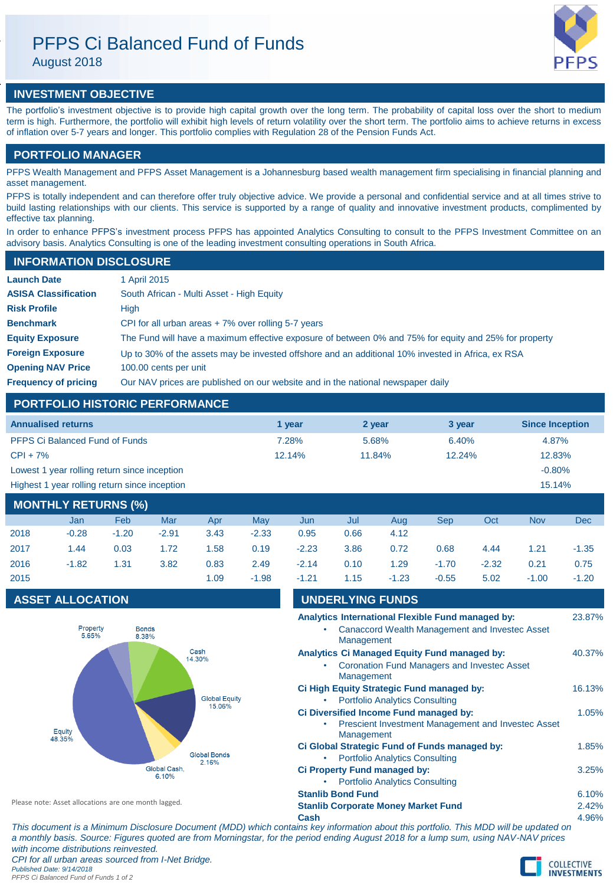# PFPS Ci Balanced Fund of Funds

August 2018



# **INVESTMENT OBJECTIVE**

The portfolio's investment objective is to provide high capital growth over the long term. The probability of capital loss over the short to medium term is high. Furthermore, the portfolio will exhibit high levels of return volatility over the short term. The portfolio aims to achieve returns in excess of inflation over 5-7 years and longer. This portfolio complies with Regulation 28 of the Pension Funds Act.

# **PORTFOLIO MANAGER**

PFPS Wealth Management and PFPS Asset Management is a Johannesburg based wealth management firm specialising in financial planning and asset management.

PFPS is totally independent and can therefore offer truly objective advice. We provide a personal and confidential service and at all times strive to build lasting relationships with our clients. This service is supported by a range of quality and innovative investment products, complimented by effective tax planning.

In order to enhance PFPS's investment process PFPS has appointed Analytics Consulting to consult to the PFPS Investment Committee on an advisory basis. Analytics Consulting is one of the leading investment consulting operations in South Africa.

## **INFORMATION DISCLOSURE**

| <b>Launch Date</b>          | 1 April 2015                                                                                          |
|-----------------------------|-------------------------------------------------------------------------------------------------------|
| <b>ASISA Classification</b> | South African - Multi Asset - High Equity                                                             |
| <b>Risk Profile</b>         | High                                                                                                  |
| <b>Benchmark</b>            | CPI for all urban areas $+7\%$ over rolling 5-7 years                                                 |
| <b>Equity Exposure</b>      | The Fund will have a maximum effective exposure of between 0% and 75% for equity and 25% for property |
| <b>Foreign Exposure</b>     | Up to 30% of the assets may be invested offshore and an additional 10% invested in Africa, ex RSA     |
| <b>Opening NAV Price</b>    | 100.00 cents per unit                                                                                 |
| <b>Frequency of pricing</b> | Our NAV prices are published on our website and in the national newspaper daily                       |

# **PORTFOLIO HISTORIC PERFORMANCE**

| <b>Annualised returns</b>                               | 1 vear | 2 year | 3 year | <b>Since Inception</b> |  |  |
|---------------------------------------------------------|--------|--------|--------|------------------------|--|--|
| <b>PFPS Ci Balanced Fund of Funds</b>                   | 7.28%  | 5.68%  | 6.40%  | 4.87%                  |  |  |
| $CPI + 7%$                                              | 12.14% | 11.84% | 12.24% | 12.83%                 |  |  |
| Lowest 1 year rolling return since inception            |        |        |        | $-0.80%$               |  |  |
| Highest 1 year rolling return since inception<br>15.14% |        |        |        |                        |  |  |
| <b>MONTLILY DETLIBMS (0/1)</b>                          |        |        |        |                        |  |  |

| MONTHLY RETURNS (%) |         |         |         |      |         |         |      |         |         |         |            |         |
|---------------------|---------|---------|---------|------|---------|---------|------|---------|---------|---------|------------|---------|
|                     | Jan     | Feb     | Mar     | Apr  | May     | Jun     | Jul  | Aug     | Sep     | Oct     | <b>Nov</b> | Dec     |
| 2018                | $-0.28$ | $-1.20$ | $-2.91$ | 3.43 | $-2.33$ | 0.95    | 0.66 | 4.12    |         |         |            |         |
| 2017                | 1.44    | 0.03    | 1.72    | 1.58 | 0.19    | $-2.23$ | 3.86 | 0.72    | 0.68    | 4.44    | 1.21       | $-1.35$ |
| 2016                | $-1.82$ | 1.31    | 3.82    | 0.83 | 2.49    | $-2.14$ | 0.10 | 1.29    | $-1.70$ | $-2.32$ | 0.21       | 0.75    |
| 2015                |         |         |         | 1.09 | $-1.98$ | $-1.21$ | 1.15 | $-1.23$ | $-0.55$ | 5.02    | $-1.00$    | $-1.20$ |

# **ASSET ALLOCATION**



| -1.21                    | 1.15                                                | $-1.23$                               | -0.55 | 5.02                                                      | $-1.00$ | -1.20  |
|--------------------------|-----------------------------------------------------|---------------------------------------|-------|-----------------------------------------------------------|---------|--------|
|                          | <b>UNDERLYING FUNDS</b>                             |                                       |       |                                                           |         |        |
|                          | Analytics International Flexible Fund managed by:   |                                       |       |                                                           |         | 23.87% |
|                          |                                                     |                                       |       | Canaccord Wealth Management and Investec Asset            |         |        |
|                          | Management                                          |                                       |       |                                                           |         |        |
|                          | <b>Analytics Ci Managed Equity Fund managed by:</b> |                                       |       |                                                           |         | 40.37% |
|                          |                                                     |                                       |       | <b>Coronation Fund Managers and Investec Asset</b>        |         |        |
|                          | Management                                          |                                       |       |                                                           |         |        |
|                          | Ci High Equity Strategic Fund managed by:           |                                       |       |                                                           |         | 16.13% |
|                          |                                                     | <b>Portfolio Analytics Consulting</b> |       |                                                           |         |        |
|                          | Ci Diversified Income Fund managed by:              |                                       |       |                                                           |         | 1.05%  |
|                          |                                                     |                                       |       | <b>Prescient Investment Management and Investec Asset</b> |         |        |
|                          | Management                                          |                                       |       |                                                           |         |        |
|                          | Ci Global Strategic Fund of Funds managed by:       |                                       |       |                                                           |         | 1.85%  |
|                          |                                                     | <b>Portfolio Analytics Consulting</b> |       |                                                           |         |        |
|                          | Ci Property Fund managed by:                        |                                       |       |                                                           |         | 3.25%  |
|                          |                                                     | <b>Portfolio Analytics Consulting</b> |       |                                                           |         |        |
| <b>Stanlib Bond Fund</b> |                                                     |                                       |       |                                                           |         | 6.10%  |
|                          | <b>Stanlib Corporate Money Market Fund</b>          |                                       |       |                                                           |         | 2.42%  |

Please note: Asset allocations are one month lagged.

**Cash** 4.96%

*This document is a Minimum Disclosure Document (MDD) which contains key information about this portfolio. This MDD will be updated on a monthly basis. Source: Figures quoted are from Morningstar, for the period ending August 2018 for a lump sum, using NAV-NAV prices with income distributions reinvested. CPI for all urban areas sourced from I-Net Bridge.*